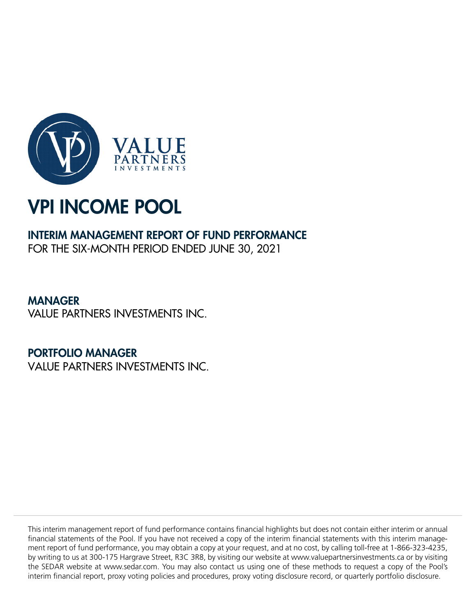

## INTERIM MANAGEMENT REPORT OF FUND PERFORMANCE

FOR THE SIX-MONTH PERIOD ENDED JUNE 30, 2021

MANAGER VALUE PARTNERS INVESTMENTS INC.

PORTFOLIO MANAGER VALUE PARTNERS INVESTMENTS INC.

This interim management report of fund performance contains financial highlights but does not contain either interim or annual financial statements of the Pool. If you have not received a copy of the interim financial statements with this interim management report of fund performance, you may obtain a copy at your request, and at no cost, by calling toll-free at 1-866-323-4235, by writing to us at 300-175 Hargrave Street, R3C 3R8, by visiting our website at www.valuepartnersinvestments.ca or by visiting the SEDAR website at www.sedar.com. You may also contact us using one of these methods to request a copy of the Pool's interim financial report, proxy voting policies and procedures, proxy voting disclosure record, or quarterly portfolio disclosure.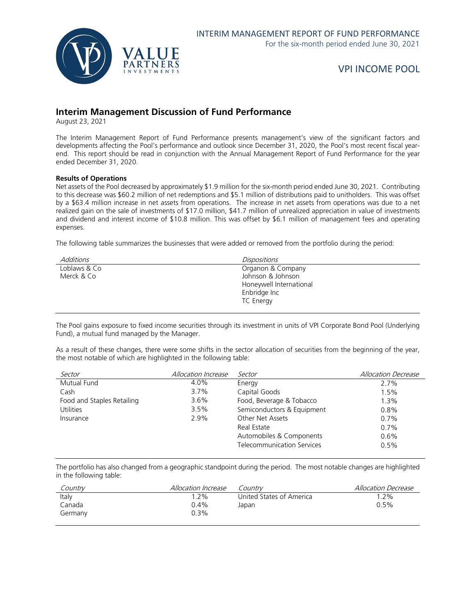

## **Interim Management Discussion of Fund Performance**

August 23, 2021

The Interim Management Report of Fund Performance presents management's view of the significant factors and developments affecting the Pool's performance and outlook since December 31, 2020, the Pool's most recent fiscal yearend. This report should be read in conjunction with the Annual Management Report of Fund Performance for the year ended December 31, 2020.

#### **Results of Operations**

Net assets of the Pool decreased by approximately \$1.9 million for the six-month period ended June 30, 2021. Contributing to this decrease was \$60.2 million of net redemptions and \$5.1 million of distributions paid to unitholders. This was offset by a \$63.4 million increase in net assets from operations. The increase in net assets from operations was due to a net realized gain on the sale of investments of \$17.0 million, \$41.7 million of unrealized appreciation in value of investments and dividend and interest income of \$10.8 million. This was offset by \$6.1 million of management fees and operating expenses.

The following table summarizes the businesses that were added or removed from the portfolio during the period:

| Additions    | <b>Dispositions</b>     |
|--------------|-------------------------|
| Loblaws & Co | Organon & Company       |
| Merck & Co   | Johnson & Johnson       |
|              | Honeywell International |
|              | Enbridge Inc            |
|              | <b>TC Energy</b>        |
|              |                         |

The Pool gains exposure to fixed income securities through its investment in units of VPI Corporate Bond Pool (Underlying Fund), a mutual fund managed by the Manager.

As a result of these changes, there were some shifts in the sector allocation of securities from the beginning of the year, the most notable of which are highlighted in the following table:

| Sector                     | Allocation Increase | Sector                            | <b>Allocation Decrease</b> |
|----------------------------|---------------------|-----------------------------------|----------------------------|
| Mutual Fund                | 4.0%                | Energy                            | 2.7%                       |
| Cash                       | 3.7%                | Capital Goods                     | 1.5%                       |
| Food and Staples Retailing | 3.6%                | Food, Beverage & Tobacco          | 1.3%                       |
| <b>Utilities</b>           | 3.5%                | Semiconductors & Equipment        | 0.8%                       |
| Insurance                  | 2.9%                | Other Net Assets                  | 0.7%                       |
|                            |                     | Real Estate                       | 0.7%                       |
|                            |                     | Automobiles & Components          | 0.6%                       |
|                            |                     | <b>Telecommunication Services</b> | 0.5%                       |

The portfolio has also changed from a geographic standpoint during the period. The most notable changes are highlighted in the following table:

| country | <i>Allocation Increase</i> | Countrv                  | <i>Allocation Decrease</i> |
|---------|----------------------------|--------------------------|----------------------------|
| Italy   | $.2\%$                     | United States of America | $.2\%$                     |
| Canada  | $0.4\%$                    | Japan                    | $0.5\%$                    |
| Germany | 0.3%                       |                          |                            |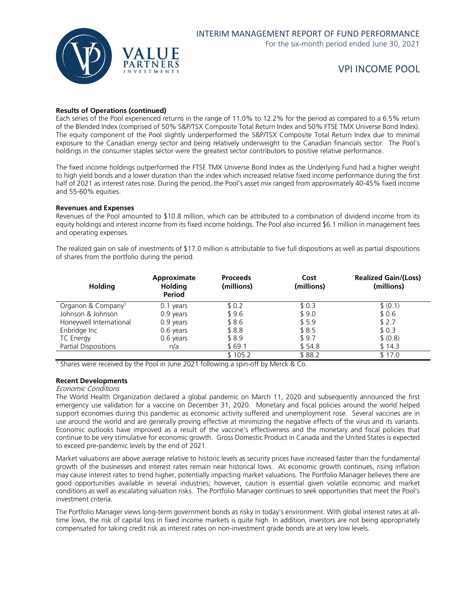

#### **Results of Operations (continued)**

Each series of the Pool experienced returns in the range of 11.0% to 12.2% for the period as compared to a 6.5% return of the Blended Index (comprised of 50% S&P/TSX Composite Total Return Index and 50% FTSE TMX Universe Bond Index). The equity component of the Pool slightly underperformed the S&P/TSX Composite Total Return Index due to minimal exposure to the Canadian energy sector and being relatively underweight to the Canadian financials sector. The Pool's holdings in the consumer staples sector were the greatest sector contributors to positive relative performance.

The fixed income holdings outperformed the FTSE TMX Universe Bond Index as the Underlying Fund had a higher weight to high yield bonds and a lower duration than the index which increased relative fixed income performance during the first half of 2021 as interest rates rose. During the period, the Pool's asset mix ranged from approximately 40-45% fixed income and 55-60% equities.

#### **Revenues and Expenses**

Revenues of the Pool amounted to \$10.8 million, which can be attributed to a combination of dividend income from its equity holdings and interest income from its fixed income holdings. The Pool also incurred \$6.1 million in management fees and operating expenses.

The realized gain on sale of investments of \$17.0 million is attributable to five full dispositions as well as partial dispositions of shares from the portfolio during the period.

| <b>Holding</b>                 | Approximate<br><b>Holding</b><br>Period | <b>Proceeds</b><br>(millions) | Cost<br>(millions) | <b>Realized Gain/(Loss)</b><br>(millions) |
|--------------------------------|-----------------------------------------|-------------------------------|--------------------|-------------------------------------------|
| Organon & Company <sup>1</sup> | 0.1 years                               | \$0.2                         | \$0.3              | \$ (0.1)                                  |
| Johnson & Johnson              | 0.9 years                               | \$96                          | \$9.0              | \$0.6                                     |
| Honeywell International        | 0.9 years                               | \$8.6                         | \$5.9              | \$2.7                                     |
| Enbridge Inc                   | 0.6 years                               | \$8.8                         | \$8.5              | \$0.3                                     |
| <b>TC Energy</b>               | 0.6 years                               | \$8.9                         | \$9.7              | \$ (0.8)                                  |
| <b>Partial Dispositions</b>    | n/a                                     | \$69.1                        | \$54.8             | \$14.3                                    |
|                                |                                         | \$105.2                       | \$88.2             | \$17.0                                    |

<sup>1</sup> Shares were received by the Pool in June 2021 following a spin-off by Merck & Co.

#### **Recent Developments**

#### Economic Conditions

The World Health Organization declared a global pandemic on March 11, 2020 and subsequently announced the first emergency use validation for a vaccine on December 31, 2020. Monetary and fiscal policies around the world helped support economies during this pandemic as economic activity suffered and unemployment rose. Several vaccines are in use around the world and are generally proving effective at minimizing the negative effects of the virus and its variants. Economic outlooks have improved as a result of the vaccine's effectiveness and the monetary and fiscal policies that continue to be very stimulative for economic growth. Gross Domestic Product in Canada and the United States is expected to exceed pre-pandemic levels by the end of 2021.

Market valuations are above average relative to historic levels as security prices have increased faster than the fundamental growth of the businesses and interest rates remain near historical lows. As economic growth continues, rising inflation may cause interest rates to trend higher, potentially impacting market valuations. The Portfolio Manager believes there are good opportunities available in several industries; however, caution is essential given volatile economic and market conditions as well as escalating valuation risks. The Portfolio Manager continues to seek opportunities that meet the Pool's investment criteria.

The Portfolio Manager views long-term government bonds as risky in today's environment. With global interest rates at alltime lows, the risk of capital loss in fixed income markets is quite high. In addition, investors are not being appropriately compensated for taking credit risk as interest rates on non-investment grade bonds are at very low levels.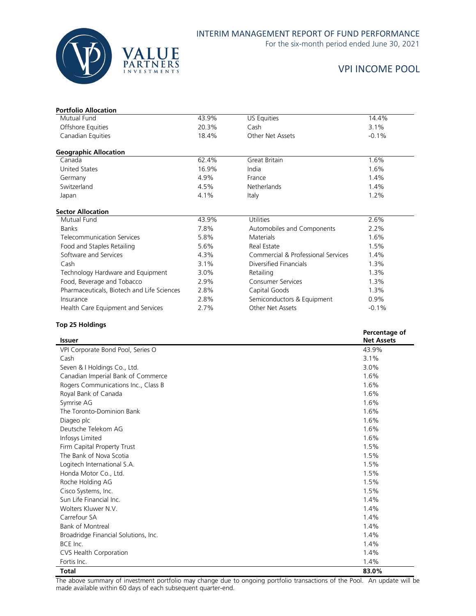

## INTERIM MANAGEMENT REPORT OF FUND PERFORMANCE

For the six-month period ended June 30, 2021

## VPI INCOME POOL

| <b>Portfolio Allocation</b><br>Mutual Fund | 43.9% | US Equities                        | 14.4%         |
|--------------------------------------------|-------|------------------------------------|---------------|
|                                            |       | Cash                               |               |
| Offshore Equities                          | 20.3% |                                    | 3.1%          |
| Canadian Equities                          | 18.4% | Other Net Assets                   | $-0.1%$       |
| <b>Geographic Allocation</b>               |       |                                    |               |
| Canada                                     | 62.4% | <b>Great Britain</b>               | 1.6%          |
| <b>United States</b>                       | 16.9% | India                              | 1.6%          |
| Germany                                    | 4.9%  | France                             | 1.4%          |
| Switzerland                                | 4.5%  | <b>Netherlands</b>                 | 1.4%          |
| Japan                                      | 4.1%  | Italy                              | $1.2\%$       |
| <b>Sector Allocation</b>                   |       |                                    |               |
| Mutual Fund                                | 43.9% | Utilities                          | 2.6%          |
| <b>Banks</b>                               | 7.8%  | Automobiles and Components         | 2.2%          |
| <b>Telecommunication Services</b>          | 5.8%  | <b>Materials</b>                   | 1.6%          |
| Food and Staples Retailing                 | 5.6%  | Real Estate                        | 1.5%          |
| Software and Services                      | 4.3%  | Commercial & Professional Services | 1.4%          |
| Cash                                       | 3.1%  | Diversified Financials             | 1.3%          |
| Technology Hardware and Equipment          | 3.0%  | Retailing                          | 1.3%          |
| Food, Beverage and Tobacco                 | 2.9%  | <b>Consumer Services</b>           | 1.3%          |
| Pharmaceuticals, Biotech and Life Sciences | 2.8%  | Capital Goods                      | 1.3%          |
| Insurance                                  | 2.8%  | Semiconductors & Equipment         | 0.9%          |
| Health Care Equipment and Services         | 2.7%  | Other Net Assets                   | $-0.1%$       |
| <b>Top 25 Holdings</b>                     |       |                                    |               |
|                                            |       |                                    | Percentage of |

| <b>Issuer</b>                        | Percentage of<br><b>Net Assets</b> |
|--------------------------------------|------------------------------------|
| VPI Corporate Bond Pool, Series O    | 43.9%                              |
| Cash                                 | 3.1%                               |
| Seven & I Holdings Co., Ltd.         | 3.0%                               |
| Canadian Imperial Bank of Commerce   | 1.6%                               |
| Rogers Communications Inc., Class B  | 1.6%                               |
| Royal Bank of Canada                 | 1.6%                               |
| Symrise AG                           | 1.6%                               |
| The Toronto-Dominion Bank            | 1.6%                               |
| Diageo plc                           | 1.6%                               |
| Deutsche Telekom AG                  | 1.6%                               |
| Infosys Limited                      | 1.6%                               |
| Firm Capital Property Trust          | 1.5%                               |
| The Bank of Nova Scotia              | 1.5%                               |
| Logitech International S.A.          | 1.5%                               |
| Honda Motor Co., Ltd.                | 1.5%                               |
| Roche Holding AG                     | 1.5%                               |
| Cisco Systems, Inc.                  | 1.5%                               |
| Sun Life Financial Inc.              | 1.4%                               |
| Wolters Kluwer N.V.                  | 1.4%                               |
| Carrefour SA                         | 1.4%                               |
| <b>Bank of Montreal</b>              | 1.4%                               |
| Broadridge Financial Solutions, Inc. | 1.4%                               |
| BCE Inc.                             | 1.4%                               |
| CVS Health Corporation               | 1.4%                               |
| Fortis Inc.                          | 1.4%                               |
| <b>Total</b>                         | 83.0%                              |

The above summary of investment portfolio may change due to ongoing portfolio transactions of the Pool. An update will be made available within 60 days of each subsequent quarter-end.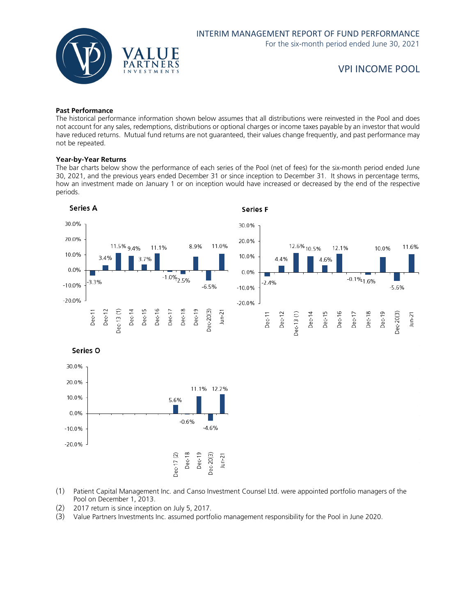

#### **Past Performance**

The historical performance information shown below assumes that all distributions were reinvested in the Pool and does not account for any sales, redemptions, distributions or optional charges or income taxes payable by an investor that would have reduced returns. Mutual fund returns are not guaranteed, their values change frequently, and past performance may not be repeated.

#### **Year-by-Year Returns**

The bar charts below show the performance of each series of the Pool (net of fees) for the six-month period ended June 30, 2021, and the previous years ended December 31 or since inception to December 31. It shows in percentage terms, how an investment made on January 1 or on inception would have increased or decreased by the end of the respective periods.



- (1) Patient Capital Management Inc. and Canso Investment Counsel Ltd. were appointed portfolio managers of the Pool on December 1, 2013.
- (2) 2017 return is since inception on July 5, 2017.
- (3) Value Partners Investments Inc. assumed portfolio management responsibility for the Pool in June 2020.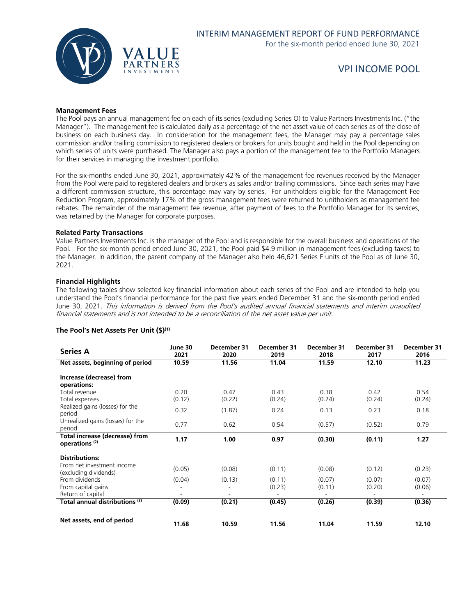

#### **Management Fees**

The Pool pays an annual management fee on each of its series (excluding Series O) to Value Partners Investments Inc. ("the Manager"). The management fee is calculated daily as a percentage of the net asset value of each series as of the close of business on each business day. In consideration for the management fees, the Manager may pay a percentage sales commission and/or trailing commission to registered dealers or brokers for units bought and held in the Pool depending on which series of units were purchased. The Manager also pays a portion of the management fee to the Portfolio Managers for their services in managing the investment portfolio.

For the six-months ended June 30, 2021, approximately 42% of the management fee revenues received by the Manager from the Pool were paid to registered dealers and brokers as sales and/or trailing commissions. Since each series may have a different commission structure, this percentage may vary by series. For unitholders eligible for the Management Fee Reduction Program, approximately 17% of the gross management fees were returned to unitholders as management fee rebates. The remainder of the management fee revenue, after payment of fees to the Portfolio Manager for its services, was retained by the Manager for corporate purposes.

#### **Related Party Transactions**

Value Partners Investments Inc. is the manager of the Pool and is responsible for the overall business and operations of the Pool. For the six-month period ended June 30, 2021, the Pool paid \$4.9 million in management fees (excluding taxes) to the Manager. In addition, the parent company of the Manager also held 46,621 Series F units of the Pool as of June 30, 2021.

#### **Financial Highlights**

The following tables show selected key financial information about each series of the Pool and are intended to help you understand the Pool's financial performance for the past five years ended December 31 and the six-month period ended June 30, 2021. This information is derived from the Pool's audited annual financial statements and interim unaudited financial statements and is not intended to be a reconciliation of the net asset value per unit.

#### **The Pool's Net Assets Per Unit (\$)(1)**

| <b>Series A</b>                                             | June 30<br>2021 | December 31<br>2020 | December 31<br>2019 | December 31<br>2018 | December 31<br>2017 | December 31<br>2016 |
|-------------------------------------------------------------|-----------------|---------------------|---------------------|---------------------|---------------------|---------------------|
| Net assets, beginning of period                             | 10.59           | 11.56               | 11.04               | 11.59               | 12.10               | 11.23               |
| Increase (decrease) from<br>operations:<br>Total revenue    | 0.20            | 0.47                | 0.43                | 0.38                | 0.42                | 0.54                |
| Total expenses                                              | (0.12)          | (0.22)              | (0.24)              | (0.24)              | (0.24)              | (0.24)              |
| Realized gains (losses) for the<br>period                   | 0.32            | (1.87)              | 0.24                | 0.13                | 0.23                | 0.18                |
| Unrealized gains (losses) for the<br>period                 | 0.77            | 0.62                | 0.54                | (0.57)              | (0.52)              | 0.79                |
| Total increase (decrease) from<br>operations <sup>(2)</sup> | 1.17            | 1.00                | 0.97                | (0.30)              | (0.11)              | 1.27                |
| <b>Distributions:</b><br>From net investment income         |                 |                     |                     |                     |                     |                     |
| (excluding dividends)                                       | (0.05)          | (0.08)              | (0.11)              | (0.08)              | (0.12)              | (0.23)              |
| From dividends<br>From capital gains<br>Return of capital   | (0.04)          | (0.13)              | (0.11)<br>(0.23)    | (0.07)<br>(0.11)    | (0.07)<br>(0.20)    | (0.07)<br>(0.06)    |
| Total annual distributions (3)                              | (0.09)          | (0.21)              | (0.45)              | (0.26)              | (0.39)              | (0.36)              |
| Net assets, end of period                                   | 11.68           | 10.59               | 11.56               | 11.04               | 11.59               | 12.10               |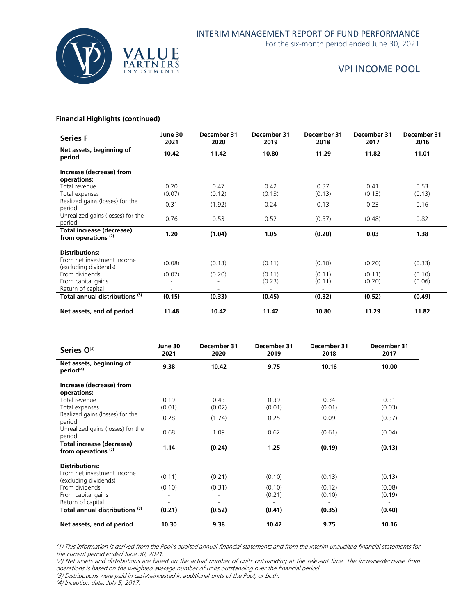

For the six-month period ended June 30, 2021

## VPI INCOME POOL

#### **Financial Highlights (continued)**

| <b>Series F</b>                                             | June 30<br>2021 | December 31<br>2020 | December 31<br>2019 | December 31<br>2018 | December 31<br>2017 | December 31<br>2016 |
|-------------------------------------------------------------|-----------------|---------------------|---------------------|---------------------|---------------------|---------------------|
| Net assets, beginning of<br>period                          | 10.42           | 11.42               | 10.80               | 11.29               | 11.82               | 11.01               |
| Increase (decrease) from<br>operations:                     |                 |                     |                     |                     |                     |                     |
| Total revenue<br>Total expenses                             | 0.20<br>(0.07)  | 0.47<br>(0.12)      | 0.42<br>(0.13)      | 0.37<br>(0.13)      | 0.41<br>(0.13)      | 0.53<br>(0.13)      |
| Realized gains (losses) for the<br>period                   | 0.31            | (1.92)              | 0.24                | 0.13                | 0.23                | 0.16                |
| Unrealized gains (losses) for the<br>period                 | 0.76            | 0.53                | 0.52                | (0.57)              | (0.48)              | 0.82                |
| Total increase (decrease)<br>from operations <sup>(2)</sup> | 1.20            | (1.04)              | 1.05                | (0.20)              | 0.03                | 1.38                |
| <b>Distributions:</b>                                       |                 |                     |                     |                     |                     |                     |
| From net investment income<br>(excluding dividends)         | (0.08)          | (0.13)              | (0.11)              | (0.10)              | (0.20)              | (0.33)              |
| From dividends<br>From capital gains                        | (0.07)          | (0.20)              | (0.11)<br>(0.23)    | (0.11)<br>(0.11)    | (0.11)<br>(0.20)    | (0.10)<br>(0.06)    |
| Return of capital                                           |                 |                     |                     |                     |                     |                     |
| Total annual distributions (3)                              | (0.15)          | (0.33)              | (0.45)              | (0.32)              | (0.52)              | (0.49)              |
| Net assets, end of period                                   | 11.48           | 10.42               | 11.42               | 10.80               | 11.29               | 11.82               |

| Series O <sup>(4)</sup>                           | June 30<br>2021 | December 31<br>2020 | December 31<br>2019 | December 31<br>2018 | December 31<br>2017 |
|---------------------------------------------------|-----------------|---------------------|---------------------|---------------------|---------------------|
| Net assets, beginning of<br>period <sup>(4)</sup> | 9.38            | 10.42               | 9.75                | 10.16               | 10.00               |
| Increase (decrease) from                          |                 |                     |                     |                     |                     |
| operations:                                       |                 | 0.43                | 0.39                | 0.34                | 0.31                |
| Total revenue<br>Total expenses                   | 0.19<br>(0.01)  | (0.02)              | (0.01)              | (0.01)              | (0.03)              |
| Realized gains (losses) for the                   |                 |                     |                     |                     |                     |
| period                                            | 0.28            | (1.74)              | 0.25                | 0.09                | (0.37)              |
| Unrealized gains (losses) for the                 |                 |                     |                     |                     |                     |
| period                                            | 0.68            | 1.09                | 0.62                | (0.61)              | (0.04)              |
| Total increase (decrease)                         | 1.14            | (0.24)              | 1.25                | (0.19)              | (0.13)              |
| from operations <sup>(2)</sup>                    |                 |                     |                     |                     |                     |
| <b>Distributions:</b>                             |                 |                     |                     |                     |                     |
| From net investment income                        |                 |                     |                     |                     |                     |
| (excluding dividends)                             | (0.11)          | (0.21)              | (0.10)              | (0.13)              | (0.13)              |
| From dividends                                    | (0.10)          | (0.31)              | (0.10)              | (0.12)              | (0.08)              |
| From capital gains                                |                 | ۰                   | (0.21)              | (0.10)              | (0.19)              |
| Return of capital                                 |                 |                     | ٠                   |                     |                     |
| Total annual distributions <sup>(3)</sup>         | (0.21)          | (0.52)              | (0.41)              | (0.35)              | (0.40)              |
| Net assets, end of period                         | 10.30           | 9.38                | 10.42               | 9.75                | 10.16               |

(1) This information is derived from the Pool's audited annual financial statements and from the interim unaudited financial statements for the current period ended June 30, 2021.

(2) Net assets and distributions are based on the actual number of units outstanding at the relevant time. The increase/decrease from operations is based on the weighted average number of units outstanding over the financial period. (3) Distributions were paid in cash/reinvested in additional units of the Pool, or both.

(4) Inception date: July 5, 2017.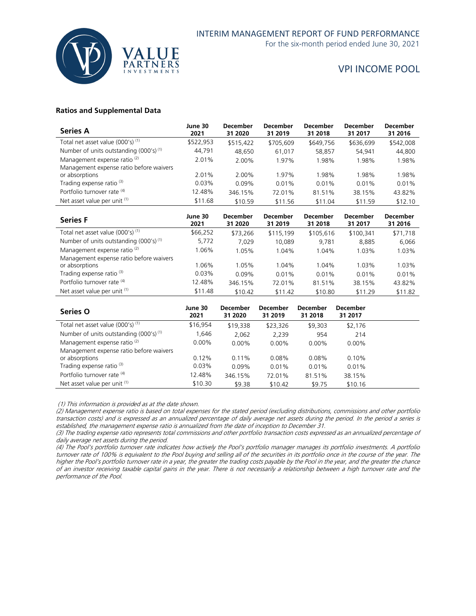

For the six-month period ended June 30, 2021

## VPI INCOME POOL

#### **Ratios and Supplemental Data**

| <b>Series A</b>                                    | June 30<br>2021 | <b>December</b><br>31 2020 | <b>December</b><br>31 2019 | <b>December</b><br>31 2018 | December<br>31 2017 | <b>December</b><br>31 2016 |
|----------------------------------------------------|-----------------|----------------------------|----------------------------|----------------------------|---------------------|----------------------------|
| Total net asset value $(000's)^{(1)}$              | \$522,953       | \$515,422                  | \$705,609                  | \$649,756                  | \$636,699           | \$542,008                  |
| Number of units outstanding (000's) <sup>(1)</sup> | 44,791          | 48,650                     | 61.017                     | 58,857                     | 54.941              | 44,800                     |
| Management expense ratio <sup>(2)</sup>            | 2.01%           | 2.00%                      | 1.97%                      | 1.98%                      | 1.98%               | 1.98%                      |
| Management expense ratio before waivers            |                 |                            |                            |                            |                     |                            |
| or absorptions                                     | 2.01%           | 2.00%                      | 1.97%                      | 1.98%                      | 1.98%               | 1.98%                      |
| Trading expense ratio <sup>(3)</sup>               | $0.03\%$        | 0.09%                      | $0.01\%$                   | 0.01%                      | 0.01%               | 0.01%                      |
| Portfolio turnover rate (4)                        | 12.48%          | 346.15%                    | 72.01%                     | 81.51%                     | 38.15%              | 43.82%                     |
| Net asset value per unit (1)                       | \$11.68         | \$10.59                    | \$11.56                    | \$11.04                    | \$11.59             | \$12.10                    |

| <b>Series F</b>                              | June 30<br>2021 | <b>December</b><br>31 2020 | <b>December</b><br>31 2019 | <b>December</b><br>31 2018 | <b>December</b><br>31 2017 | <b>December</b><br>31 2016 |
|----------------------------------------------|-----------------|----------------------------|----------------------------|----------------------------|----------------------------|----------------------------|
| Total net asset value (000's) <sup>(1)</sup> | \$66,252        | \$73,266                   | \$115,199                  | \$105,616                  | \$100,341                  | \$71,718                   |
| Number of units outstanding $(000's)^{(1)}$  | 5,772           | 7.029                      | 10.089                     | 9.781                      | 8,885                      | 6,066                      |
| Management expense ratio <sup>(2)</sup>      | 1.06%           | 1.05%                      | 1.04%                      | 1.04%                      | 1.03%                      | 1.03%                      |
| Management expense ratio before waivers      |                 |                            |                            |                            |                            |                            |
| or absorptions                               | 1.06%           | 1.05%                      | 1.04%                      | 1.04%                      | 1.03%                      | 1.03%                      |
| Trading expense ratio <sup>(3)</sup>         | $0.03\%$        | $0.09\%$                   | 0.01%                      | 0.01%                      | 0.01%                      | 0.01%                      |
| Portfolio turnover rate (4)                  | 12.48%          | 346.15%                    | 72.01%                     | 81.51%                     | 38.15%                     | 43.82%                     |
| Net asset value per unit (1)                 | \$11.48         | \$10.42                    | \$11.42                    | \$10.80                    | \$11.29                    | \$11.82                    |

| Series O                                    | June 30<br>2021 | <b>December</b><br>31 2020 | <b>December</b><br>31 2019 | <b>December</b><br>31 2018 | <b>December</b><br>31 2017 |  |
|---------------------------------------------|-----------------|----------------------------|----------------------------|----------------------------|----------------------------|--|
| Total net asset value $(000's)^{(1)}$       | \$16.954        | \$19,338                   | \$23,326                   | \$9,303                    | \$2,176                    |  |
| Number of units outstanding $(000's)^{(1)}$ | 1,646           | 2,062                      | 2,239                      | 954                        | 214                        |  |
| Management expense ratio <sup>(2)</sup>     | $0.00\%$        | $0.00\%$                   | $0.00\%$                   | $0.00\%$                   | $0.00\%$                   |  |
| Management expense ratio before waivers     |                 |                            |                            |                            |                            |  |
| or absorptions                              | 0.12%           | $0.11\%$                   | 0.08%                      | 0.08%                      | 0.10%                      |  |
| Trading expense ratio <sup>(3)</sup>        | 0.03%           | 0.09%                      | 0.01%                      | 0.01%                      | 0.01%                      |  |
| Portfolio turnover rate (4)                 | 12.48%          | 346.15%                    | 72.01%                     | 81.51%                     | 38.15%                     |  |
| Net asset value per unit (1)                | \$10.30         | \$9.38                     | \$10.42                    | \$9.75                     | \$10.16                    |  |

(1) This information is provided as at the date shown.

(2) Management expense ratio is based on total expenses for the stated period (excluding distributions, commissions and other portfolio transaction costs) and is expressed as an annualized percentage of daily average net assets during the period. In the period a series is established, the management expense ratio is annualized from the date of inception to December 31.

(3) The trading expense ratio represents total commissions and other portfolio transaction costs expressed as an annualized percentage of daily average net assets during the period.

(4) The Pool's portfolio turnover rate indicates how actively the Pool's portfolio manager manages its portfolio investments. A portfolio turnover rate of 100% is equivalent to the Pool buying and selling all of the securities in its portfolio once in the course of the year. The higher the Pool's portfolio turnover rate in a year, the greater the trading costs payable by the Pool in the year, and the greater the chance of an investor receiving taxable capital gains in the year. There is not necessarily a relationship between a high turnover rate and the performance of the Pool.